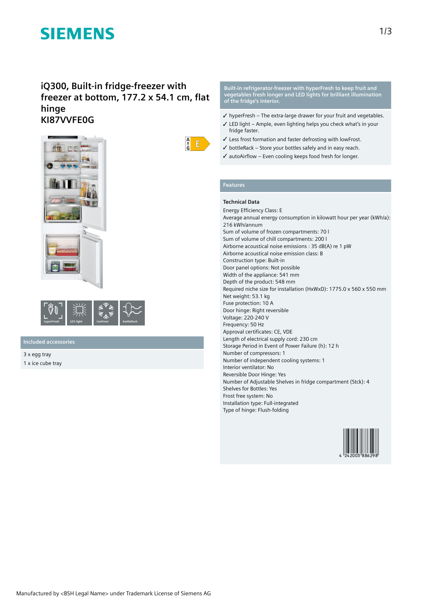# **SIEMENS**

## **iQ300, Built-in fridge-freezer with freezer at bottom, 177.2 x 54.1 cm, flat hinge KI87VVFE0G**





### **Included accessories**

3 x egg tray 1 x ice cube tray



- ✓ hyperFresh The extra-large drawer for your fruit and vegetables.
- ✓ LED light Ample, even lighting helps you check what's in your fridge faster.
- ✓ Less frost formation and faster defrosting with lowFrost.
- $\checkmark$  bottleRack Store your bottles safely and in easy reach.
- ✓ autoAirflow Even cooling keeps food fresh for longer.

### **Features**

 $\frac{A}{f}$  $E$ 

### **Technical Data**

Energy Efficiency Class: E Average annual energy consumption in kilowatt hour per year (kWh/a): 216 kWh/annum Sum of volume of frozen compartments: 70 l Sum of volume of chill compartments: 200 l Airborne acoustical noise emissions : 35 dB(A) re 1 pW Airborne acoustical noise emission class: B Construction type: Built-in Door panel options: Not possible Width of the appliance: 541 mm Depth of the product: 548 mm Required niche size for installation (HxWxD): 1775.0 x 560 x 550 mm Net weight: 53.1 kg Fuse protection: 10 A Door hinge: Right reversible Voltage: 220-240 V Frequency: 50 Hz Approval certificates: CE, VDE Length of electrical supply cord: 230 cm Storage Period in Event of Power Failure (h): 12 h Number of compressors: 1 Number of independent cooling systems: 1 Interior ventilator: No Reversible Door Hinge: Yes Number of Adjustable Shelves in fridge compartment (Stck): 4 Shelves for Bottles: Yes Frost free system: No Installation type: Full-integrated Type of hinge: Flush-folding

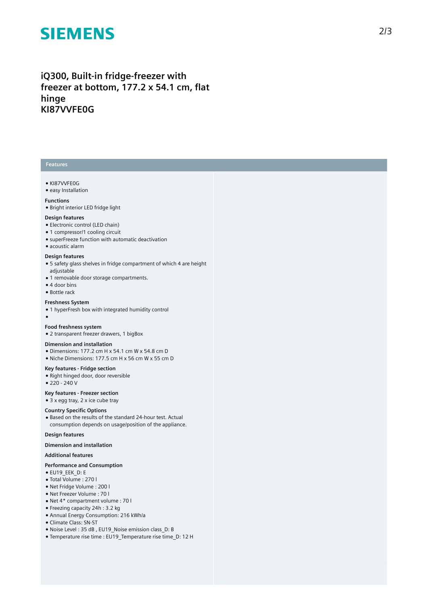# **SIEMENS**

## **iQ300, Built-in fridge-freezer with freezer at bottom, 177.2 x 54.1 cm, flat hinge KI87VVFE0G**

### **Features**

### ● KI87VVFE0G

● easy Installation

#### **Functions**

● Bright interior LED fridge light

#### **Design features**

- Electronic control (LED chain)
- 1 compressor/1 cooling circuit
- superFreeze function with automatic deactivation
- acoustic alarm

### **Design features**

- 5 safety glass shelves in fridge compartment of which 4 are height adjustable
- 1 removable door storage compartments.
- 4 door bins
- Bottle rack

### **Freshness System**

- 1 hyperFresh box with integrated humidity control
- $\overline{\phantom{a}}$

### **Food freshness system**

● 2 transparent freezer drawers, 1 bigBox

### **Dimension and installation**

- Dimensions: 177.2 cm H x 54.1 cm W x 54.8 cm D
- Niche Dimensions: 177.5 cm H x 56 cm W x 55 cm D

### **Key features - Fridge section**

- Right hinged door, door reversible
- 220 240 V

### **Key features - Freezer section**

● 3 x egg tray, 2 x ice cube tray

### **Country Specific Options**

● Based on the results of the standard 24-hour test. Actual consumption depends on usage/position of the appliance.

### **Design features**

### **Dimension and installation**

### **Additional features**

#### **Performance and Consumption**

- EU19\_EEK\_D: E
- Total Volume : 270 l
- Net Fridge Volume : 200 l
- Net Freezer Volume : 70 l
- Net 4\* compartment volume : 70 l
- Freezing capacity 24h : 3.2 kg
- Annual Energy Consumption: 216 kWh/a
- Climate Class: SN-ST
- Noise Level : 35 dB , EU19\_Noise emission class\_D: B
- Temperature rise time : EU19\_Temperature rise time\_D: 12 H